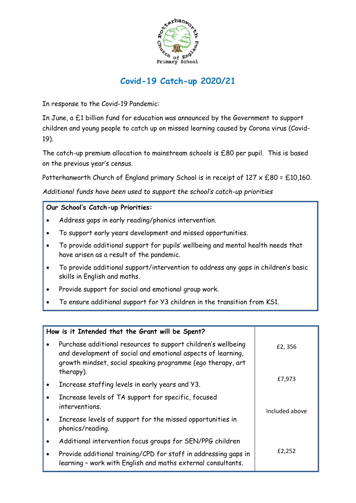

## **Covid-19 Catch-up 2020/21**

In response to the Covid-19 Pandemic:

In June, a £1 billion fund for education was announced by the Government to support children and young people to catch up on missed learning caused by Corona virus (Covid-19).

The catch-up premium allocation to mainstream schools is £80 per pupil. This is based on the previous year's census.

Potterhanworth Church of England primary School is in receipt of  $127 \times £80 = £10,160$ .

*Additional funds have been used to support the school's catch-up priorities*

## **Our School's Catch-up Priorities:**

- Address gaps in early reading/phonics intervention.
- To support early years development and missed opportunities.
- To provide additional support for pupils' wellbeing and mental health needs that have arisen as a result of the pandemic.
- To provide additional support/intervention to address any gaps in children's basic skills in English and maths.
- Provide support for social and emotional group work.
- To ensure additional support for Y3 children in the transition from KS1.

| How is it Intended that the Grant will be Spent?                                                                                                                                                                       |                |  |
|------------------------------------------------------------------------------------------------------------------------------------------------------------------------------------------------------------------------|----------------|--|
| Purchase additional resources to support children's wellbeing<br>$\bullet$<br>and development of social and emotional aspects of learning,<br>growth mindset, social speaking programme (ego therapy, art<br>therapy). | £2,356         |  |
| Increase staffing levels in early years and Y3.                                                                                                                                                                        | £7,973         |  |
| Increase levels of TA support for specific, focused<br>interventions.                                                                                                                                                  | Included above |  |
| Increase levels of support for the missed opportunities in<br>$\bullet$<br>phonics/reading.                                                                                                                            |                |  |
| Additional intervention focus groups for SEN/PPG children<br>$\bullet$                                                                                                                                                 |                |  |
| Provide additional training/CPD for staff in addressing gaps in<br>$\bullet$<br>learning - work with English and maths external consultants.                                                                           | £2,252         |  |